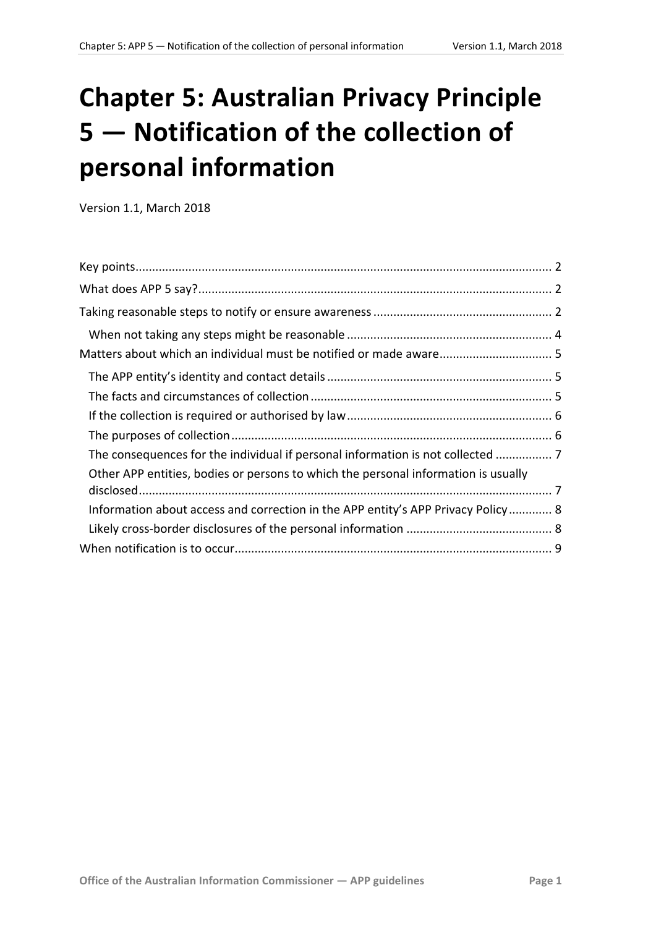# **Chapter 5: Australian Privacy Principle 5 — Notification of the collection of personal information**

Version 1.1, March 2018

| The consequences for the individual if personal information is not collected  7    |  |
|------------------------------------------------------------------------------------|--|
| Other APP entities, bodies or persons to which the personal information is usually |  |
| Information about access and correction in the APP entity's APP Privacy Policy 8   |  |
|                                                                                    |  |
|                                                                                    |  |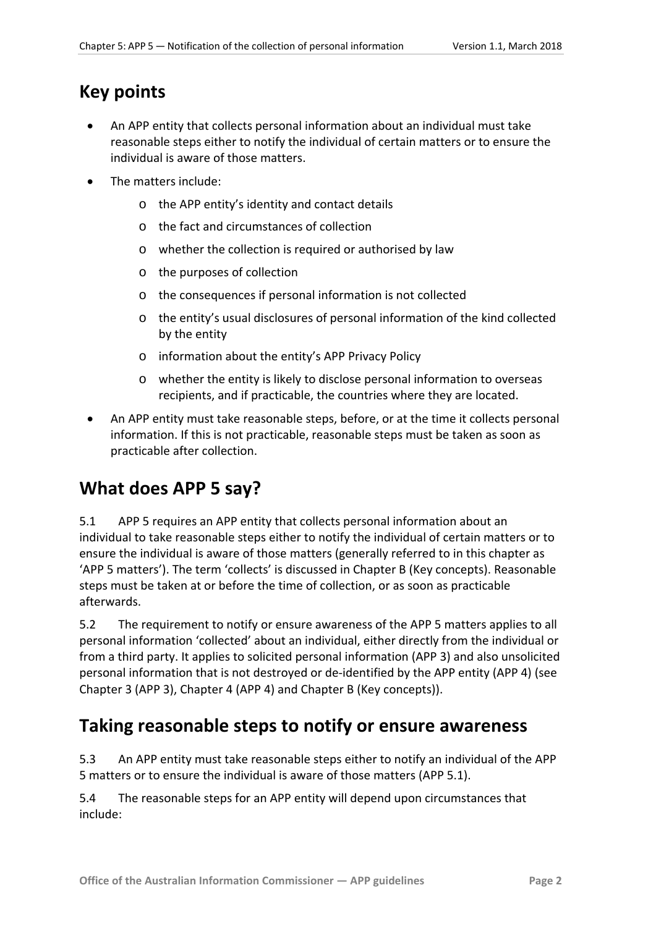# <span id="page-1-0"></span>**Key points**

- An APP entity that collects personal information about an individual must take reasonable steps either to notify the individual of certain matters or to ensure the individual is aware of those matters.
- The matters include:
	- o the APP entity's identity and contact details
	- o the fact and circumstances of collection
	- o whether the collection is required or authorised by law
	- o the purposes of collection
	- o the consequences if personal information is not collected
	- o the entity's usual disclosures of personal information of the kind collected by the entity
	- o information about the entity's APP Privacy Policy
	- o whether the entity is likely to disclose personal information to overseas recipients, and if practicable, the countries where they are located.
- An APP entity must take reasonable steps, before, or at the time it collects personal information. If this is not practicable, reasonable steps must be taken as soon as practicable after collection.

# <span id="page-1-1"></span>**What does APP 5 say?**

5.1 APP 5 requires an APP entity that collects personal information about an individual to take reasonable steps either to notify the individual of certain matters or to ensure the individual is aware of those matters (generally referred to in this chapter as 'APP 5 matters'). The term 'collects' is discussed in Chapter B (Key concepts). Reasonable steps must be taken at or before the time of collection, or as soon as practicable afterwards.

5.2 The requirement to notify or ensure awareness of the APP 5 matters applies to all personal information 'collected' about an individual, either directly from the individual or from a third party. It applies to solicited personal information (APP 3) and also unsolicited personal information that is not destroyed or de-identified by the APP entity (APP 4) (see Chapter 3 (APP 3), Chapter 4 (APP 4) and Chapter B (Key concepts)).

# <span id="page-1-2"></span>**Taking reasonable steps to notify or ensure awareness**

5.3 An APP entity must take reasonable steps either to notify an individual of the APP 5 matters or to ensure the individual is aware of those matters (APP 5.1).

5.4 The reasonable steps for an APP entity will depend upon circumstances that include: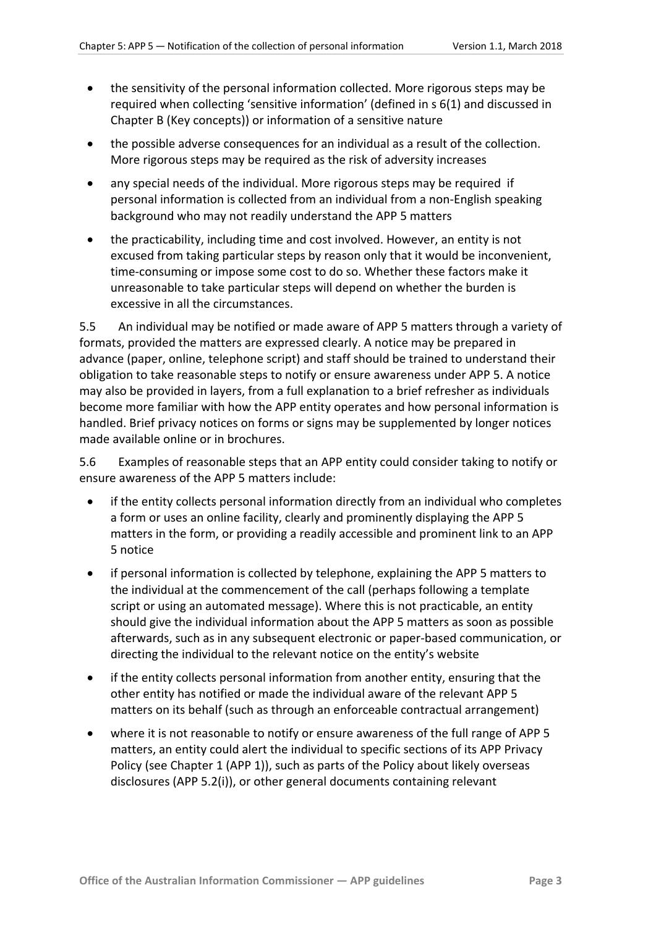- the sensitivity of the personal information collected. More rigorous steps may be required when collecting 'sensitive information' (defined in s 6(1) and discussed in Chapter B (Key concepts)) or information of a sensitive nature
- the possible adverse consequences for an individual as a result of the collection. More rigorous steps may be required as the risk of adversity increases
- any special needs of the individual. More rigorous steps may be required if personal information is collected from an individual from a non-English speaking background who may not readily understand the APP 5 matters
- the practicability, including time and cost involved. However, an entity is not excused from taking particular steps by reason only that it would be inconvenient, time-consuming or impose some cost to do so. Whether these factors make it unreasonable to take particular steps will depend on whether the burden is excessive in all the circumstances.

<span id="page-2-0"></span>5.5 An individual may be notified or made aware of APP 5 matters through a variety of formats, provided the matters are expressed clearly. A notice may be prepared in advance (paper, online, telephone script) and staff should be trained to understand their obligation to take reasonable steps to notify or ensure awareness under APP 5. A notice may also be provided in layers, from a full explanation to a brief refresher as individuals become more familiar with how the APP entity operates and how personal information is handled. Brief privacy notices on forms or signs may be supplemented by longer notices made available online or in brochures.

5.6 Examples of reasonable steps that an APP entity could consider taking to notify or ensure awareness of the APP 5 matters include:

- if the entity collects personal information directly from an individual who completes a form or uses an online facility, clearly and prominently displaying the APP 5 matters in the form, or providing a readily accessible and prominent link to an APP 5 notice
- if personal information is collected by telephone, explaining the APP 5 matters to the individual at the commencement of the call (perhaps following a template script or using an automated message). Where this is not practicable, an entity should give the individual information about the APP 5 matters as soon as possible afterwards, such as in any subsequent electronic or paper-based communication, or directing the individual to the relevant notice on the entity's website
- if the entity collects personal information from another entity, ensuring that the other entity has notified or made the individual aware of the relevant APP 5 matters on its behalf (such as through an enforceable contractual arrangement)
- where it is not reasonable to notify or ensure awareness of the full range of APP 5 matters, an entity could alert the individual to specific sections of its APP Privacy Policy (see Chapter 1 (APP 1)), such as parts of the Policy about likely overseas disclosures (APP 5.2(i)), or other general documents containing relevant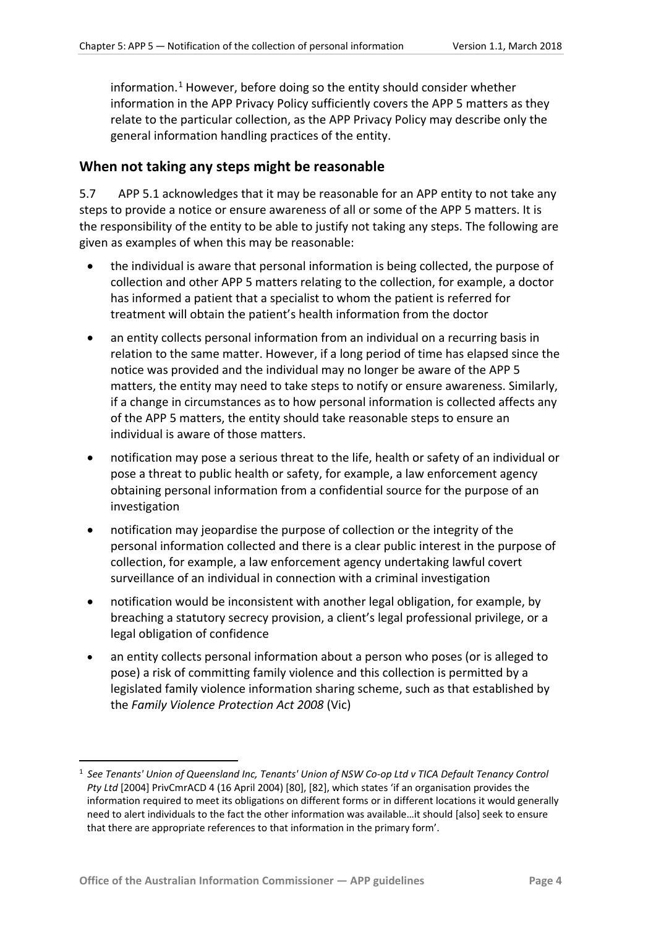information. [1](#page-3-1) However, before doing so the entity should consider whether information in the APP Privacy Policy sufficiently covers the APP 5 matters as they relate to the particular collection, as the APP Privacy Policy may describe only the general information handling practices of the entity.

#### <span id="page-3-0"></span>**When not taking any steps might be reasonable**

5.7 APP 5.1 acknowledges that it may be reasonable for an APP entity to not take any steps to provide a notice or ensure awareness of all or some of the APP 5 matters. It is the responsibility of the entity to be able to justify not taking any steps. The following are given as examples of when this may be reasonable:

- the individual is aware that personal information is being collected, the purpose of collection and other APP 5 matters relating to the collection, for example, a doctor has informed a patient that a specialist to whom the patient is referred for treatment will obtain the patient's health information from the doctor
- an entity collects personal information from an individual on a recurring basis in relation to the same matter. However, if a long period of time has elapsed since the notice was provided and the individual may no longer be aware of the APP 5 matters, the entity may need to take steps to notify or ensure awareness. Similarly, if a change in circumstances as to how personal information is collected affects any of the APP 5 matters, the entity should take reasonable steps to ensure an individual is aware of those matters.
- notification may pose a serious threat to the life, health or safety of an individual or pose a threat to public health or safety, for example, a law enforcement agency obtaining personal information from a confidential source for the purpose of an investigation
- notification may jeopardise the purpose of collection or the integrity of the personal information collected and there is a clear public interest in the purpose of collection, for example, a law enforcement agency undertaking lawful covert surveillance of an individual in connection with a criminal investigation
- notification would be inconsistent with another legal obligation, for example, by breaching a statutory secrecy provision, a client's legal professional privilege, or a legal obligation of confidence
- an entity collects personal information about a person who poses (or is alleged to pose) a risk of committing family violence and this collection is permitted by a legislated family violence information sharing scheme, such as that established by the *Family Violence Protection Act 2008* (Vic)

<span id="page-3-1"></span> <sup>1</sup> *See Tenants' Union of Queensland Inc, Tenants' Union of NSW Co-op Ltd v TICA Default Tenancy Control Pty Ltd* [2004] PrivCmrACD 4 (16 April 2004) [80], [82], which states 'if an organisation provides the information required to meet its obligations on different forms or in different locations it would generally need to alert individuals to the fact the other information was available…it should [also] seek to ensure that there are appropriate references to that information in the primary form'.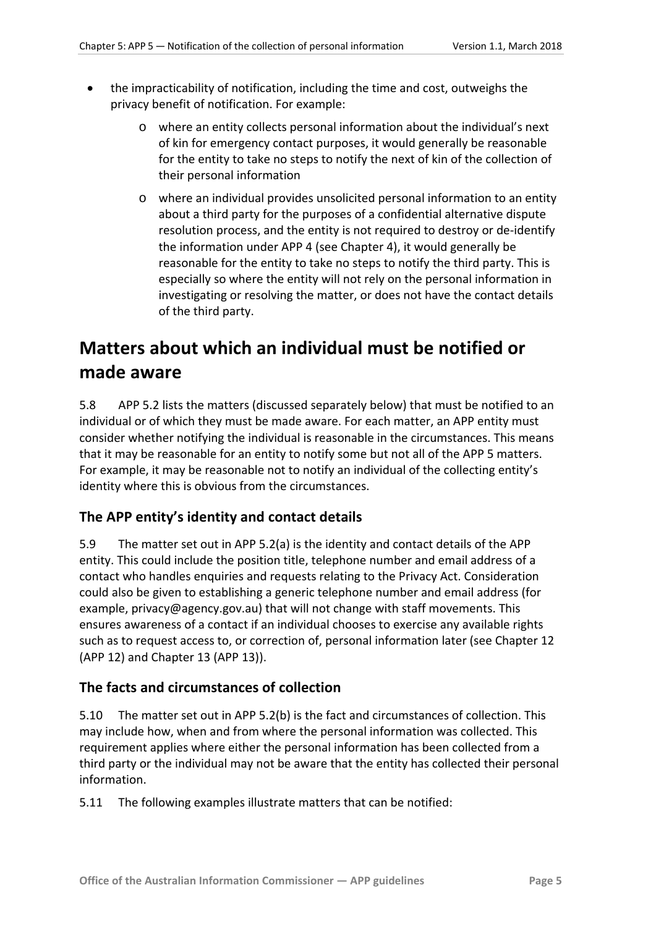- the impracticability of notification, including the time and cost, outweighs the privacy benefit of notification. For example:
	- o where an entity collects personal information about the individual's next of kin for emergency contact purposes, it would generally be reasonable for the entity to take no steps to notify the next of kin of the collection of their personal information
	- o where an individual provides unsolicited personal information to an entity about a third party for the purposes of a confidential alternative dispute resolution process, and the entity is not required to destroy or de-identify the information under APP 4 (see Chapter 4), it would generally be reasonable for the entity to take no steps to notify the third party. This is especially so where the entity will not rely on the personal information in investigating or resolving the matter, or does not have the contact details of the third party.

# <span id="page-4-0"></span>**Matters about which an individual must be notified or made aware**

5.8 APP 5.2 lists the matters (discussed separately below) that must be notified to an individual or of which they must be made aware. For each matter, an APP entity must consider whether notifying the individual is reasonable in the circumstances. This means that it may be reasonable for an entity to notify some but not all of the APP 5 matters. For example, it may be reasonable not to notify an individual of the collecting entity's identity where this is obvious from the circumstances.

## <span id="page-4-1"></span>**The APP entity's identity and contact details**

5.9 The matter set out in APP 5.2(a) is the identity and contact details of the APP entity. This could include the position title, telephone number and email address of a contact who handles enquiries and requests relating to the Privacy Act. Consideration could also be given to establishing a generic telephone number and email address (for example, privacy@agency.gov.au) that will not change with staff movements. This ensures awareness of a contact if an individual chooses to exercise any available rights such as to request access to, or correction of, personal information later (see Chapter 12 (APP 12) and Chapter 13 (APP 13)).

#### <span id="page-4-2"></span>**The facts and circumstances of collection**

5.10 The matter set out in APP 5.2(b) is the fact and circumstances of collection. This may include how, when and from where the personal information was collected. This requirement applies where either the personal information has been collected from a third party or the individual may not be aware that the entity has collected their personal information.

5.11 The following examples illustrate matters that can be notified: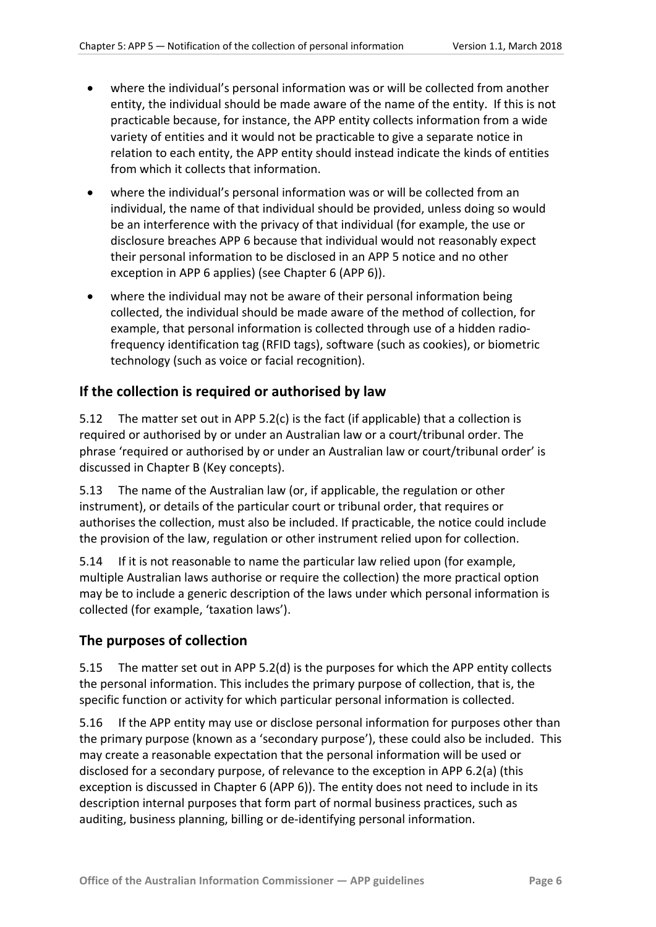- where the individual's personal information was or will be collected from another entity, the individual should be made aware of the name of the entity. If this is not practicable because, for instance, the APP entity collects information from a wide variety of entities and it would not be practicable to give a separate notice in relation to each entity, the APP entity should instead indicate the kinds of entities from which it collects that information.
- where the individual's personal information was or will be collected from an individual, the name of that individual should be provided, unless doing so would be an interference with the privacy of that individual (for example, the use or disclosure breaches APP 6 because that individual would not reasonably expect their personal information to be disclosed in an APP 5 notice and no other exception in APP 6 applies) (see Chapter 6 (APP 6)).
- where the individual may not be aware of their personal information being collected, the individual should be made aware of the method of collection, for example, that personal information is collected through use of a hidden radiofrequency identification tag (RFID tags), software (such as cookies), or biometric technology (such as voice or facial recognition).

#### <span id="page-5-0"></span>**If the collection is required or authorised by law**

5.12 The matter set out in APP 5.2(c) is the fact (if applicable) that a collection is required or authorised by or under an Australian law or a court/tribunal order. The phrase 'required or authorised by or under an Australian law or court/tribunal order' is discussed in Chapter B (Key concepts).

5.13 The name of the Australian law (or, if applicable, the regulation or other instrument), or details of the particular court or tribunal order, that requires or authorises the collection, must also be included. If practicable, the notice could include the provision of the law, regulation or other instrument relied upon for collection.

5.14 If it is not reasonable to name the particular law relied upon (for example, multiple Australian laws authorise or require the collection) the more practical option may be to include a generic description of the laws under which personal information is collected (for example, 'taxation laws').

## <span id="page-5-1"></span>**The purposes of collection**

5.15 The matter set out in APP 5.2(d) is the purposes for which the APP entity collects the personal information. This includes the primary purpose of collection, that is, the specific function or activity for which particular personal information is collected.

5.16 If the APP entity may use or disclose personal information for purposes other than the primary purpose (known as a 'secondary purpose'), these could also be included. This may create a reasonable expectation that the personal information will be used or disclosed for a secondary purpose, of relevance to the exception in APP 6.2(a) (this exception is discussed in Chapter 6 (APP 6)). The entity does not need to include in its description internal purposes that form part of normal business practices, such as auditing, business planning, billing or de-identifying personal information.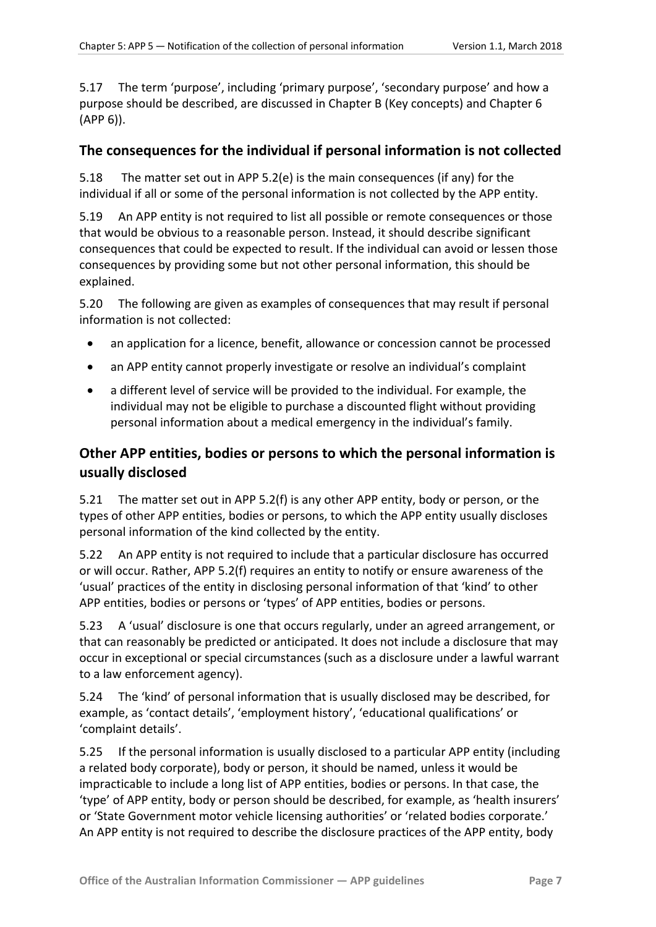5.17 The term 'purpose', including 'primary purpose', 'secondary purpose' and how a purpose should be described, are discussed in Chapter B (Key concepts) and Chapter 6 (APP 6)).

#### <span id="page-6-0"></span>**The consequences for the individual if personal information is not collected**

5.18 The matter set out in APP 5.2(e) is the main consequences (if any) for the individual if all or some of the personal information is not collected by the APP entity.

5.19 An APP entity is not required to list all possible or remote consequences or those that would be obvious to a reasonable person. Instead, it should describe significant consequences that could be expected to result. If the individual can avoid or lessen those consequences by providing some but not other personal information, this should be explained.

5.20 The following are given as examples of consequences that may result if personal information is not collected:

- an application for a licence, benefit, allowance or concession cannot be processed
- an APP entity cannot properly investigate or resolve an individual's complaint
- a different level of service will be provided to the individual. For example, the individual may not be eligible to purchase a discounted flight without providing personal information about a medical emergency in the individual's family.

## <span id="page-6-1"></span>**Other APP entities, bodies or persons to which the personal information is usually disclosed**

5.21 The matter set out in APP 5.2(f) is any other APP entity, body or person, or the types of other APP entities, bodies or persons, to which the APP entity usually discloses personal information of the kind collected by the entity.

5.22 An APP entity is not required to include that a particular disclosure has occurred or will occur. Rather, APP 5.2(f) requires an entity to notify or ensure awareness of the 'usual' practices of the entity in disclosing personal information of that 'kind' to other APP entities, bodies or persons or 'types' of APP entities, bodies or persons.

5.23 A 'usual' disclosure is one that occurs regularly, under an agreed arrangement, or that can reasonably be predicted or anticipated. It does not include a disclosure that may occur in exceptional or special circumstances (such as a disclosure under a lawful warrant to a law enforcement agency).

5.24 The 'kind' of personal information that is usually disclosed may be described, for example, as 'contact details', 'employment history', 'educational qualifications' or 'complaint details'.

5.25 If the personal information is usually disclosed to a particular APP entity (including a related body corporate), body or person, it should be named, unless it would be impracticable to include a long list of APP entities, bodies or persons. In that case, the 'type' of APP entity, body or person should be described, for example, as 'health insurers' or 'State Government motor vehicle licensing authorities' or 'related bodies corporate.' An APP entity is not required to describe the disclosure practices of the APP entity, body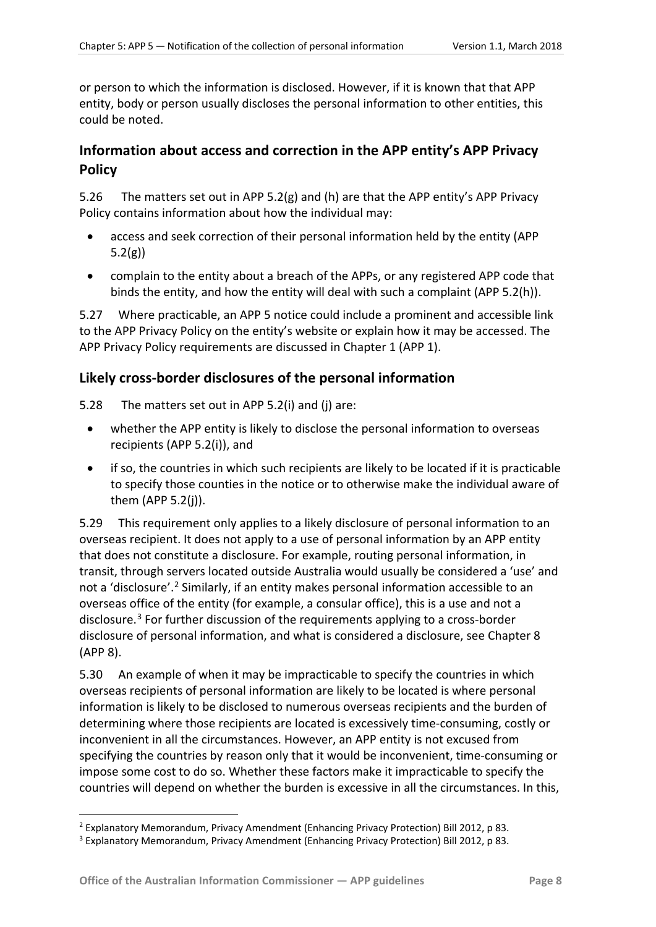or person to which the information is disclosed. However, if it is known that that APP entity, body or person usually discloses the personal information to other entities, this could be noted.

## <span id="page-7-0"></span>**Information about access and correction in the APP entity's APP Privacy Policy**

5.26 The matters set out in APP 5.2(g) and (h) are that the APP entity's APP Privacy Policy contains information about how the individual may:

- access and seek correction of their personal information held by the entity (APP 5.2(g))
- complain to the entity about a breach of the APPs, or any registered APP code that binds the entity, and how the entity will deal with such a complaint (APP 5.2(h)).

5.27 Where practicable, an APP 5 notice could include a prominent and accessible link to the APP Privacy Policy on the entity's website or explain how it may be accessed. The APP Privacy Policy requirements are discussed in Chapter 1 (APP 1).

## <span id="page-7-1"></span>**Likely cross-border disclosures of the personal information**

- 5.28 The matters set out in APP 5.2(i) and (j) are:
	- whether the APP entity is likely to disclose the personal information to overseas recipients (APP 5.2(i)), and
	- if so, the countries in which such recipients are likely to be located if it is practicable to specify those counties in the notice or to otherwise make the individual aware of them (APP 5.2(j)).

5.29 This requirement only applies to a likely disclosure of personal information to an overseas recipient. It does not apply to a use of personal information by an APP entity that does not constitute a disclosure. For example, routing personal information, in transit, through servers located outside Australia would usually be considered a 'use' and not a 'disclosure'.<sup>[2](#page-7-2)</sup> Similarly, if an entity makes personal information accessible to an overseas office of the entity (for example, a consular office), this is a use and not a disclosure. [3](#page-7-3) For further discussion of the requirements applying to a cross-border disclosure of personal information, and what is considered a disclosure, see Chapter 8 (APP 8).

5.30 An example of when it may be impracticable to specify the countries in which overseas recipients of personal information are likely to be located is where personal information is likely to be disclosed to numerous overseas recipients and the burden of determining where those recipients are located is excessively time-consuming, costly or inconvenient in all the circumstances. However, an APP entity is not excused from specifying the countries by reason only that it would be inconvenient, time-consuming or impose some cost to do so. Whether these factors make it impracticable to specify the countries will depend on whether the burden is excessive in all the circumstances. In this,

<span id="page-7-2"></span> <sup>2</sup> Explanatory Memorandum, Privacy Amendment (Enhancing Privacy Protection) Bill 2012, p 83.

<span id="page-7-3"></span><sup>3</sup> Explanatory Memorandum, Privacy Amendment (Enhancing Privacy Protection) Bill 2012, p 83.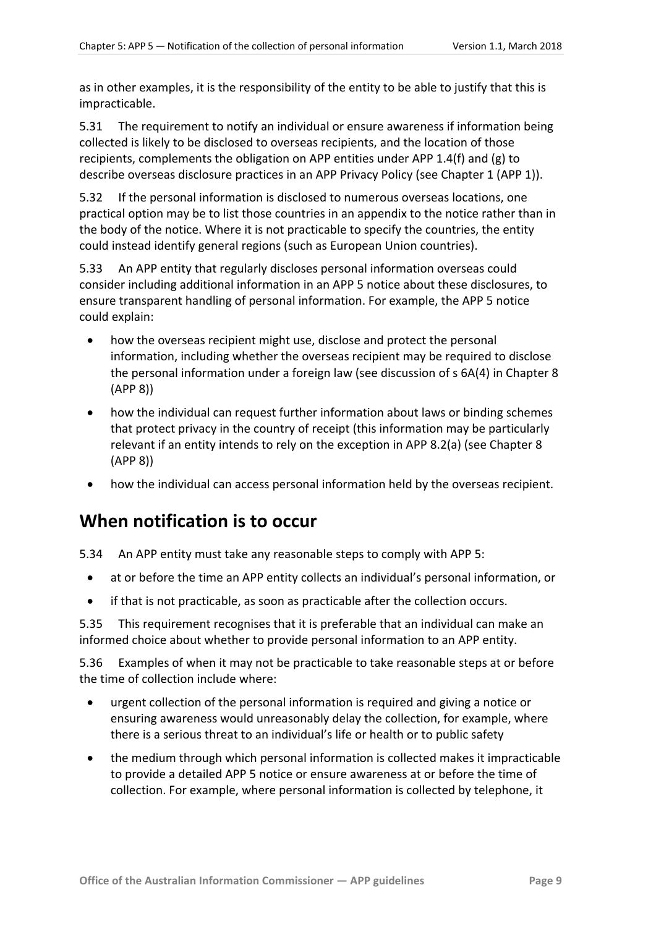as in other examples, it is the responsibility of the entity to be able to justify that this is impracticable.

5.31 The requirement to notify an individual or ensure awareness if information being collected is likely to be disclosed to overseas recipients, and the location of those recipients, complements the obligation on APP entities under APP 1.4(f) and (g) to describe overseas disclosure practices in an APP Privacy Policy (see Chapter 1 (APP 1)).

5.32 If the personal information is disclosed to numerous overseas locations, one practical option may be to list those countries in an appendix to the notice rather than in the body of the notice. Where it is not practicable to specify the countries, the entity could instead identify general regions (such as European Union countries).

5.33 An APP entity that regularly discloses personal information overseas could consider including additional information in an APP 5 notice about these disclosures, to ensure transparent handling of personal information. For example, the APP 5 notice could explain:

- how the overseas recipient might use, disclose and protect the personal information, including whether the overseas recipient may be required to disclose the personal information under a foreign law (see discussion of s 6A(4) in Chapter 8 (APP 8))
- how the individual can request further information about laws or binding schemes that protect privacy in the country of receipt (this information may be particularly relevant if an entity intends to rely on the exception in APP 8.2(a) (see Chapter 8 (APP 8))
- how the individual can access personal information held by the overseas recipient.

# <span id="page-8-0"></span>**When notification is to occur**

5.34 An APP entity must take any reasonable steps to comply with APP 5:

- at or before the time an APP entity collects an individual's personal information, or
- if that is not practicable, as soon as practicable after the collection occurs.

5.35 This requirement recognises that it is preferable that an individual can make an informed choice about whether to provide personal information to an APP entity.

5.36 Examples of when it may not be practicable to take reasonable steps at or before the time of collection include where:

- urgent collection of the personal information is required and giving a notice or ensuring awareness would unreasonably delay the collection, for example, where there is a serious threat to an individual's life or health or to public safety
- the medium through which personal information is collected makes it impracticable to provide a detailed APP 5 notice or ensure awareness at or before the time of collection. For example, where personal information is collected by telephone, it